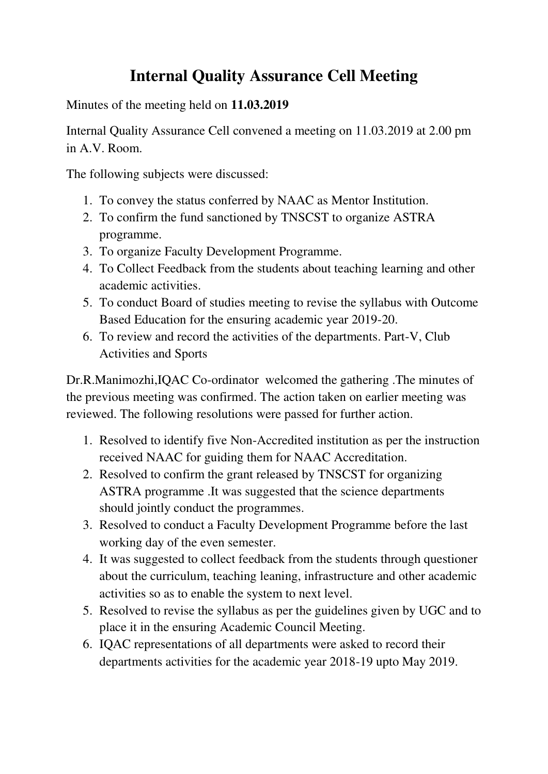# **Internal Quality Assurance Cell Meeting**

Minutes of the meeting held on **11.03.2019**

Internal Quality Assurance Cell convened a meeting on 11.03.2019 at 2.00 pm in A.V. Room.

The following subjects were discussed:

- 1. To convey the status conferred by NAAC as Mentor Institution.
- 2. To confirm the fund sanctioned by TNSCST to organize ASTRA programme.
- 3. To organize Faculty Development Programme.
- 4. To Collect Feedback from the students about teaching learning and other academic activities.
- 5. To conduct Board of studies meeting to revise the syllabus with Outcome Based Education for the ensuring academic year 2019-20.
- 6. To review and record the activities of the departments. Part-V, Club Activities and Sports

Dr.R.Manimozhi,IQAC Co-ordinator welcomed the gathering .The minutes of the previous meeting was confirmed. The action taken on earlier meeting was reviewed. The following resolutions were passed for further action.

- 1. Resolved to identify five Non-Accredited institution as per the instruction received NAAC for guiding them for NAAC Accreditation.
- 2. Resolved to confirm the grant released by TNSCST for organizing ASTRA programme .It was suggested that the science departments should jointly conduct the programmes.
- 3. Resolved to conduct a Faculty Development Programme before the last working day of the even semester.
- 4. It was suggested to collect feedback from the students through questioner about the curriculum, teaching leaning, infrastructure and other academic activities so as to enable the system to next level.
- 5. Resolved to revise the syllabus as per the guidelines given by UGC and to place it in the ensuring Academic Council Meeting.
- 6. IQAC representations of all departments were asked to record their departments activities for the academic year 2018-19 upto May 2019.